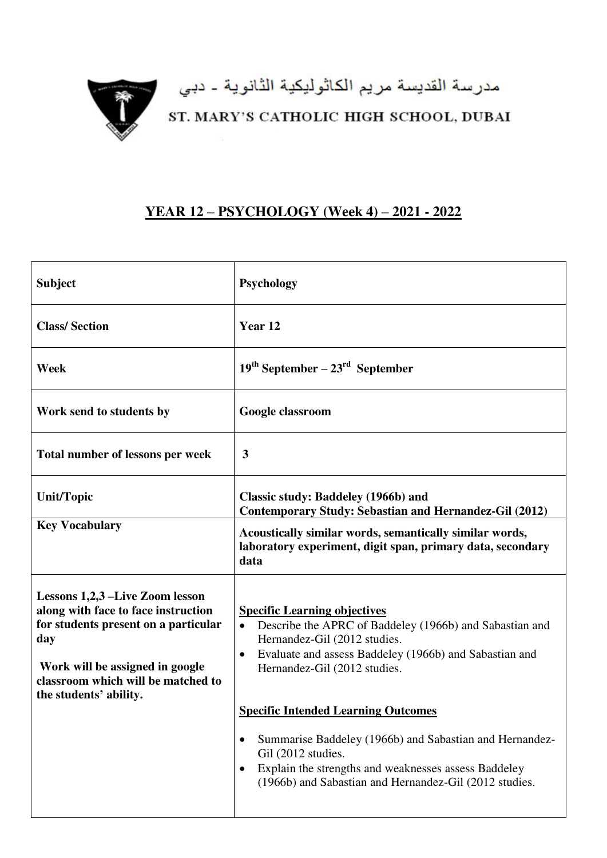

مدرسة القديسة مريم الكاثوليكية الثانوية - دبي<br>ST. MARY'S CATHOLIC HIGH SCHOOL, DUBAI

## **YEAR 12 – PSYCHOLOGY (Week 4) – 2021 - 2022**

| <b>Subject</b>                                                                                                                                                                                                           | <b>Psychology</b>                                                                                                                                                                                                                                                                                                                                                                                                                         |
|--------------------------------------------------------------------------------------------------------------------------------------------------------------------------------------------------------------------------|-------------------------------------------------------------------------------------------------------------------------------------------------------------------------------------------------------------------------------------------------------------------------------------------------------------------------------------------------------------------------------------------------------------------------------------------|
| <b>Class/Section</b>                                                                                                                                                                                                     | Year <sub>12</sub>                                                                                                                                                                                                                                                                                                                                                                                                                        |
| Week                                                                                                                                                                                                                     | $19th September - 23rd September$                                                                                                                                                                                                                                                                                                                                                                                                         |
| Work send to students by                                                                                                                                                                                                 | Google classroom                                                                                                                                                                                                                                                                                                                                                                                                                          |
| Total number of lessons per week                                                                                                                                                                                         | 3                                                                                                                                                                                                                                                                                                                                                                                                                                         |
| <b>Unit/Topic</b>                                                                                                                                                                                                        | Classic study: Baddeley (1966b) and<br>Contemporary Study: Sebastian and Hernandez-Gil (2012)                                                                                                                                                                                                                                                                                                                                             |
| <b>Key Vocabulary</b>                                                                                                                                                                                                    | Acoustically similar words, semantically similar words,<br>laboratory experiment, digit span, primary data, secondary<br>data                                                                                                                                                                                                                                                                                                             |
| Lessons 1,2,3 –Live Zoom lesson<br>along with face to face instruction<br>for students present on a particular<br>day<br>Work will be assigned in google<br>classroom which will be matched to<br>the students' ability. | <b>Specific Learning objectives</b><br>Describe the APRC of Baddeley (1966b) and Sabastian and<br>$\bullet$<br>Hernandez-Gil (2012 studies.<br>Evaluate and assess Baddeley (1966b) and Sabastian and<br>$\bullet$<br>Hernandez-Gil (2012 studies.<br><b>Specific Intended Learning Outcomes</b><br>Summarise Baddeley (1966b) and Sabastian and Hernandez-<br>Gil (2012 studies.<br>Explain the strengths and weaknesses assess Baddeley |
|                                                                                                                                                                                                                          | (1966b) and Sabastian and Hernandez-Gil (2012 studies.                                                                                                                                                                                                                                                                                                                                                                                    |